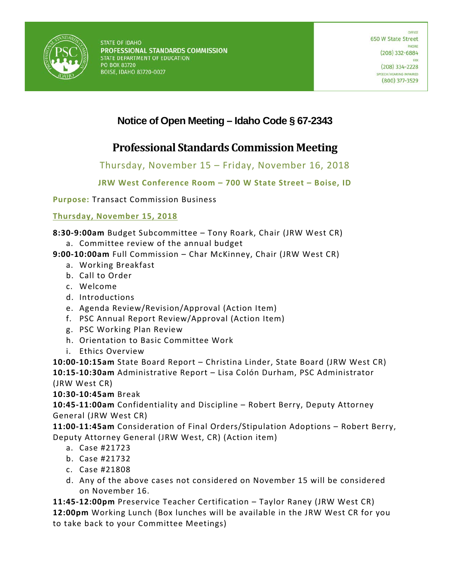

# **Notice of Open Meeting – Idaho Code § 67-2343**

# **Professional Standards Commission Meeting**

### Thursday, November 15 – Friday, November 16, 2018

### **JRW West Conference Room – 700 W State Street – Boise, ID**

**Purpose:** Transact Commission Business

**Thursday, November 15, 2018**

**8:30-9:00am** Budget Subcommittee – Tony Roark, Chair (JRW West CR)

- a. Committee review of the annual budget
- **9:00-10:00am** Full Commission Char McKinney, Chair (JRW West CR)
	- a. Working Breakfast
	- b. Call to Order
	- c. Welcome
	- d. Introductions
	- e. Agenda Review/Revision/Approval (Action Item)
	- f. PSC Annual Report Review/Approval (Action Item)
	- g. PSC Working Plan Review
	- h. Orientation to Basic Committee Work
	- i. Ethics Overview

**10:00-10:15am** State Board Report – Christina Linder, State Board (JRW West CR)

**10:15-10:30am** Administrative Report – Lisa Colón Durham, PSC Administrator (JRW West CR)

**10:30-10:45am** Break

**10:45-11:00am** Confidentiality and Discipline – Robert Berry, Deputy Attorney General (JRW West CR)

**11:00-11:45am** Consideration of Final Orders/Stipulation Adoptions – Robert Berry, Deputy Attorney General (JRW West, CR) (Action item)

- a. Case #21723
- b. Case #21732
- c. Case #21808
- d. Any of the above cases not considered on November 15 will be considered on November 16.

**11:45-12:00pm** Preservice Teacher Certification – Taylor Raney (JRW West CR) **12:00pm** Working Lunch (Box lunches will be available in the JRW West CR for you to take back to your Committee Meetings)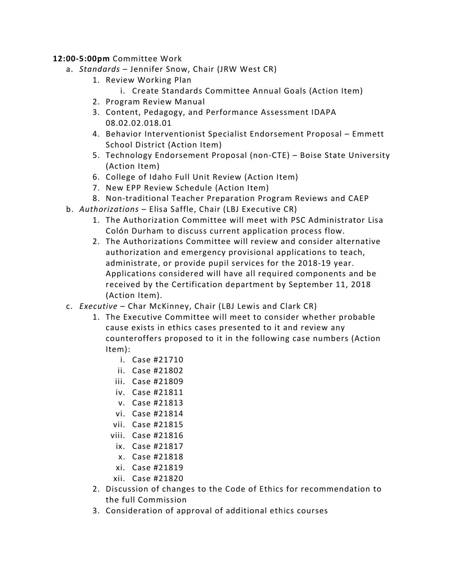#### **12:00-5:00pm** Committee Work

- a. *Standards*  Jennifer Snow, Chair (JRW West CR)
	- 1. Review Working Plan
		- i. Create Standards Committee Annual Goals (Action Item)
	- 2. Program Review Manual
	- 3. Content, Pedagogy, and Performance Assessment IDAPA 08.02.02.018.01
	- 4. Behavior Interventionist Specialist Endorsement Proposal Emmett School District (Action Item)
	- 5. Technology Endorsement Proposal (non-CTE) Boise State University (Action Item)
	- 6. College of Idaho Full Unit Review (Action Item)
	- 7. New EPP Review Schedule (Action Item)
	- 8. Non-traditional Teacher Preparation Program Reviews and CAEP
- b. *Authorizations*  Elisa Saffle, Chair (LBJ Executive CR)
	- 1. The Authorization Committee will meet with PSC Administrator Lisa Colón Durham to discuss current application process flow.
	- 2. The Authorizations Committee will review and consider alternative authorization and emergency provisional applications to teach, administrate, or provide pupil services for the 2018-19 year. Applications considered will have all required components and be received by the Certification department by September 11, 2018 (Action Item).
- c. *Executive* Char McKinney, Chair (LBJ Lewis and Clark CR)
	- 1. The Executive Committee will meet to consider whether probable cause exists in ethics cases presented to it and review any counteroffers proposed to it in the following case numbers (Action Item):
		- i. Case #21710
		- ii. Case #21802
		- iii. Case #21809
		- iv. Case #21811
		- v. Case #21813
		- vi. Case #21814
		- vii. Case #21815
		- viii. Case #21816
			- ix. Case #21817
			- x. Case #21818
			- xi. Case #21819
		- xii. Case #21820
	- 2. Discussion of changes to the Code of Ethics for recommendation to the full Commission
	- 3. Consideration of approval of additional ethics courses